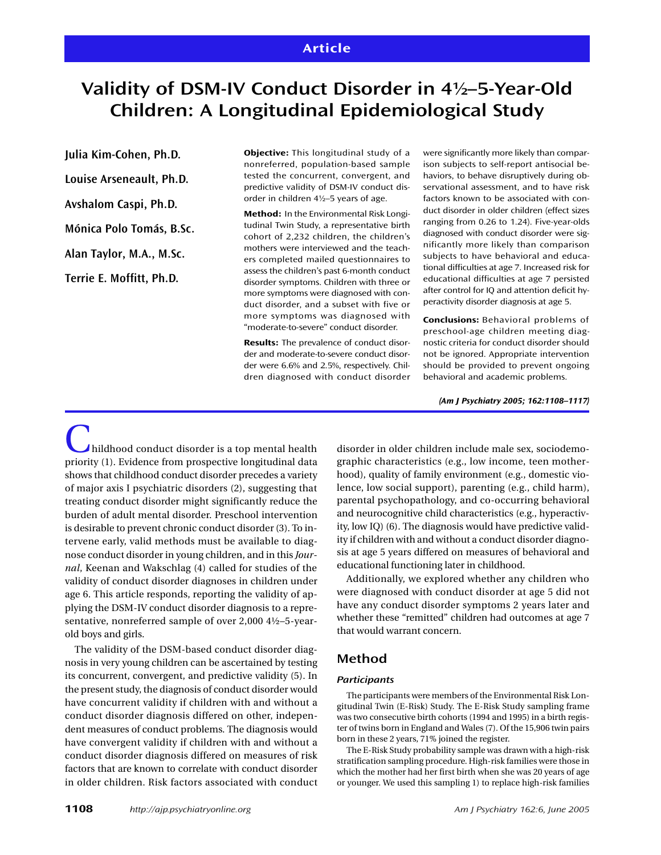# **Validity of DSM-IV Conduct Disorder in 4½–5-Year-Old Children: A Longitudinal Epidemiological Study**

**Julia Kim-Cohen, Ph.D. Louise Arseneault, Ph.D. Avshalom Caspi, Ph.D. Mónica Polo Tomás, B.Sc. Alan Taylor, M.A., M.Sc. Terrie E. Moffitt, Ph.D.**

**Objective:** This longitudinal study of a nonreferred, population-based sample tested the concurrent, convergent, and predictive validity of DSM-IV conduct disorder in children 4½–5 years of age.

**Method:** In the Environmental Risk Longitudinal Twin Study, a representative birth cohort of 2,232 children, the children's mothers were interviewed and the teachers completed mailed questionnaires to assess the children's past 6-month conduct disorder symptoms. Children with three or more symptoms were diagnosed with conduct disorder, and a subset with five or more symptoms was diagnosed with "moderate-to-severe" conduct disorder.

**Results:** The prevalence of conduct disorder and moderate-to-severe conduct disorder were 6.6% and 2.5%, respectively. Children diagnosed with conduct disorder were significantly more likely than comparison subjects to self-report antisocial behaviors, to behave disruptively during observational assessment, and to have risk factors known to be associated with conduct disorder in older children (effect sizes ranging from 0.26 to 1.24). Five-year-olds diagnosed with conduct disorder were significantly more likely than comparison subjects to have behavioral and educational difficulties at age 7. Increased risk for educational difficulties at age 7 persisted after control for IQ and attention deficit hyperactivity disorder diagnosis at age 5.

**Conclusions:** Behavioral problems of preschool-age children meeting diagnostic criteria for conduct disorder should not be ignored. Appropriate intervention should be provided to prevent ongoing behavioral and academic problems.

*(Am J Psychiatry 2005; 162:1108–1117)*

Childhood conduct disorder is a top mental health priority (1). Evidence from prospective longitudinal data shows that childhood conduct disorder precedes a variety of major axis I psychiatric disorders (2), suggesting that treating conduct disorder might significantly reduce the burden of adult mental disorder. Preschool intervention is desirable to prevent chronic conduct disorder (3). To intervene early, valid methods must be available to diagnose conduct disorder in young children, and in this *Journal*, Keenan and Wakschlag (4) called for studies of the validity of conduct disorder diagnoses in children under age 6. This article responds, reporting the validity of applying the DSM-IV conduct disorder diagnosis to a representative, nonreferred sample of over 2,000 4½–5-yearold boys and girls.

The validity of the DSM-based conduct disorder diagnosis in very young children can be ascertained by testing its concurrent, convergent, and predictive validity (5). In the present study, the diagnosis of conduct disorder would have concurrent validity if children with and without a conduct disorder diagnosis differed on other, independent measures of conduct problems. The diagnosis would have convergent validity if children with and without a conduct disorder diagnosis differed on measures of risk factors that are known to correlate with conduct disorder in older children. Risk factors associated with conduct

disorder in older children include male sex, sociodemographic characteristics (e.g., low income, teen motherhood), quality of family environment (e.g., domestic violence, low social support), parenting (e.g., child harm), parental psychopathology, and co-occurring behavioral and neurocognitive child characteristics (e.g., hyperactivity, low IQ) (6). The diagnosis would have predictive validity if children with and without a conduct disorder diagnosis at age 5 years differed on measures of behavioral and educational functioning later in childhood.

Additionally, we explored whether any children who were diagnosed with conduct disorder at age 5 did not have any conduct disorder symptoms 2 years later and whether these "remitted" children had outcomes at age 7 that would warrant concern.

# **Method**

#### *Participants*

The participants were members of the Environmental Risk Longitudinal Twin (E-Risk) Study. The E-Risk Study sampling frame was two consecutive birth cohorts (1994 and 1995) in a birth register of twins born in England and Wales (7). Of the 15,906 twin pairs born in these 2 years, 71% joined the register.

The E-Risk Study probability sample was drawn with a high-risk stratification sampling procedure. High-risk families were those in which the mother had her first birth when she was 20 years of age or younger. We used this sampling 1) to replace high-risk families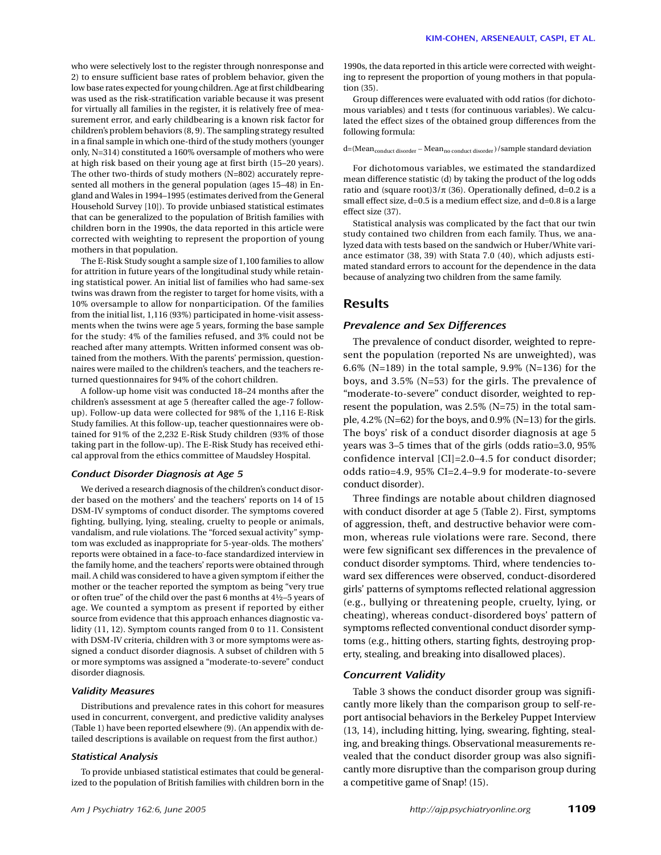who were selectively lost to the register through nonresponse and 2) to ensure sufficient base rates of problem behavior, given the low base rates expected for young children. Age at first childbearing was used as the risk-stratification variable because it was present for virtually all families in the register, it is relatively free of measurement error, and early childbearing is a known risk factor for children's problem behaviors (8, 9). The sampling strategy resulted in a final sample in which one-third of the study mothers (younger only, N=314) constituted a 160% oversample of mothers who were at high risk based on their young age at first birth (15–20 years). The other two-thirds of study mothers (N=802) accurately represented all mothers in the general population (ages 15–48) in England and Wales in 1994–1995 (estimates derived from the General Household Survey [10]). To provide unbiased statistical estimates that can be generalized to the population of British families with children born in the 1990s, the data reported in this article were corrected with weighting to represent the proportion of young mothers in that population.

The E-Risk Study sought a sample size of 1,100 families to allow for attrition in future years of the longitudinal study while retaining statistical power. An initial list of families who had same-sex twins was drawn from the register to target for home visits, with a 10% oversample to allow for nonparticipation. Of the families from the initial list, 1,116 (93%) participated in home-visit assessments when the twins were age 5 years, forming the base sample for the study: 4% of the families refused, and 3% could not be reached after many attempts. Written informed consent was obtained from the mothers. With the parents' permission, questionnaires were mailed to the children's teachers, and the teachers returned questionnaires for 94% of the cohort children.

A follow-up home visit was conducted 18–24 months after the children's assessment at age 5 (hereafter called the age-7 followup). Follow-up data were collected for 98% of the 1,116 E-Risk Study families. At this follow-up, teacher questionnaires were obtained for 91% of the 2,232 E-Risk Study children (93% of those taking part in the follow-up). The E-Risk Study has received ethical approval from the ethics committee of Maudsley Hospital.

#### *Conduct Disorder Diagnosis at Age 5*

We derived a research diagnosis of the children's conduct disorder based on the mothers' and the teachers' reports on 14 of 15 DSM-IV symptoms of conduct disorder. The symptoms covered fighting, bullying, lying, stealing, cruelty to people or animals, vandalism, and rule violations. The "forced sexual activity" symptom was excluded as inappropriate for 5-year-olds. The mothers' reports were obtained in a face-to-face standardized interview in the family home, and the teachers' reports were obtained through mail. A child was considered to have a given symptom if either the mother or the teacher reported the symptom as being "very true or often true" of the child over the past 6 months at 4½–5 years of age. We counted a symptom as present if reported by either source from evidence that this approach enhances diagnostic validity (11, 12). Symptom counts ranged from 0 to 11. Consistent with DSM-IV criteria, children with 3 or more symptoms were assigned a conduct disorder diagnosis. A subset of children with 5 or more symptoms was assigned a "moderate-to-severe" conduct disorder diagnosis.

#### *Validity Measures*

Distributions and prevalence rates in this cohort for measures used in concurrent, convergent, and predictive validity analyses (Table 1) have been reported elsewhere (9). (An appendix with detailed descriptions is available on request from the first author.)

#### *Statistical Analysis*

To provide unbiased statistical estimates that could be generalized to the population of British families with children born in the 1990s, the data reported in this article were corrected with weighting to represent the proportion of young mothers in that population (35).

Group differences were evaluated with odd ratios (for dichotomous variables) and t tests (for continuous variables). We calculated the effect sizes of the obtained group differences from the following formula:

d=(Mean $_{\rm conduct\ disorder}$  –  ${\rm Mean}_{\rm no\ conduct\ disorder}$  )/sample standard deviation

For dichotomous variables, we estimated the standardized mean difference statistic (d) by taking the product of the log odds ratio and (square root) $3/\pi$  (36). Operationally defined, d=0.2 is a small effect size, d=0.5 is a medium effect size, and d=0.8 is a large effect size (37).

Statistical analysis was complicated by the fact that our twin study contained two children from each family. Thus, we analyzed data with tests based on the sandwich or Huber/White variance estimator (38, 39) with Stata 7.0 (40), which adjusts estimated standard errors to account for the dependence in the data because of analyzing two children from the same family.

### **Results**

#### *Prevalence and Sex Differences*

The prevalence of conduct disorder, weighted to represent the population (reported Ns are unweighted), was 6.6% (N=189) in the total sample, 9.9% (N=136) for the boys, and 3.5% (N=53) for the girls. The prevalence of "moderate-to-severe" conduct disorder, weighted to represent the population, was 2.5% (N=75) in the total sample, 4.2% (N=62) for the boys, and 0.9% (N=13) for the girls. The boys' risk of a conduct disorder diagnosis at age 5 years was 3–5 times that of the girls (odds ratio=3.0, 95% confidence interval [CI]=2.0–4.5 for conduct disorder; odds ratio=4.9, 95% CI=2.4–9.9 for moderate-to-severe conduct disorder).

Three findings are notable about children diagnosed with conduct disorder at age 5 (Table 2). First, symptoms of aggression, theft, and destructive behavior were common, whereas rule violations were rare. Second, there were few significant sex differences in the prevalence of conduct disorder symptoms. Third, where tendencies toward sex differences were observed, conduct-disordered girls' patterns of symptoms reflected relational aggression (e.g., bullying or threatening people, cruelty, lying, or cheating), whereas conduct-disordered boys' pattern of symptoms reflected conventional conduct disorder symptoms (e.g., hitting others, starting fights, destroying property, stealing, and breaking into disallowed places).

## *Concurrent Validity*

Table 3 shows the conduct disorder group was significantly more likely than the comparison group to self-report antisocial behaviors in the Berkeley Puppet Interview (13, 14), including hitting, lying, swearing, fighting, stealing, and breaking things. Observational measurements revealed that the conduct disorder group was also significantly more disruptive than the comparison group during a competitive game of Snap! (15).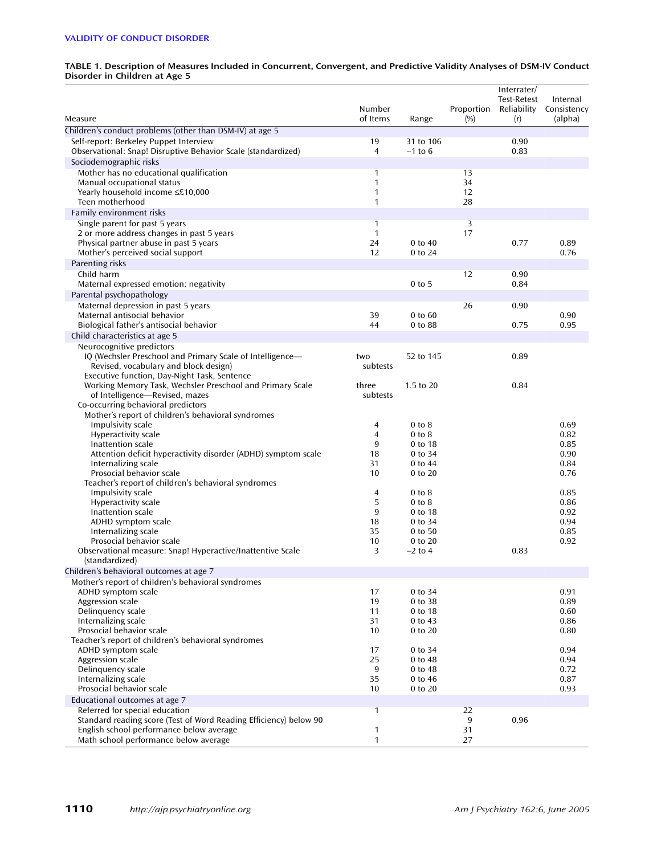#### **TABLE 1. Description of Measures Included in Concurrent, Convergent, and Predictive Validity Analyses of DSM-IV Conduct Disorder in Children at Age 5**

| Measure                                                                                  | Number<br>of Items | Range                  | Proportion<br>(%) | Interrater/<br><b>Test-Retest</b><br>Reliability<br>(r) | Internal<br>Consistency<br>(alpha) |
|------------------------------------------------------------------------------------------|--------------------|------------------------|-------------------|---------------------------------------------------------|------------------------------------|
| Children's conduct problems (other than DSM-IV) at age 5                                 |                    |                        |                   |                                                         |                                    |
| Self-report: Berkeley Puppet Interview                                                   | 19                 | 31 to 106              |                   | 0.90                                                    |                                    |
| Observational: Snap! Disruptive Behavior Scale (standardized)                            | $\overline{4}$     | $-1$ to 6              |                   | 0.83                                                    |                                    |
| Sociodemographic risks                                                                   |                    |                        |                   |                                                         |                                    |
| Mother has no educational qualification                                                  | 1                  |                        | 13                |                                                         |                                    |
| Manual occupational status                                                               | 1                  |                        | 34                |                                                         |                                    |
| Yearly household income ≤£10,000                                                         | 1                  |                        | 12                |                                                         |                                    |
| Teen motherhood                                                                          | $\mathbf{1}$       |                        | 28                |                                                         |                                    |
| Family environment risks                                                                 |                    |                        |                   |                                                         |                                    |
| Single parent for past 5 years                                                           | 1                  |                        | 3                 |                                                         |                                    |
| 2 or more address changes in past 5 years                                                | $\mathbf{1}$       |                        | 17                |                                                         |                                    |
| Physical partner abuse in past 5 years                                                   | 24<br>12           | $0$ to $40$<br>0 to 24 |                   | 0.77                                                    | 0.89<br>0.76                       |
| Mother's perceived social support                                                        |                    |                        |                   |                                                         |                                    |
| Parenting risks<br>Child harm                                                            |                    |                        | 12                | 0.90                                                    |                                    |
| Maternal expressed emotion: negativity                                                   |                    | $0$ to 5               |                   | 0.84                                                    |                                    |
| Parental psychopathology                                                                 |                    |                        |                   |                                                         |                                    |
| Maternal depression in past 5 years                                                      |                    |                        | 26                | 0.90                                                    |                                    |
| Maternal antisocial behavior                                                             | 39                 | 0 to 60                |                   |                                                         | 0.90                               |
| Biological father's antisocial behavior                                                  | 44                 | 0 to 88                |                   | 0.75                                                    | 0.95                               |
| Child characteristics at age 5                                                           |                    |                        |                   |                                                         |                                    |
| Neurocognitive predictors                                                                |                    |                        |                   |                                                         |                                    |
| IQ (Wechsler Preschool and Primary Scale of Intelligence-                                | two                | 52 to 145              |                   | 0.89                                                    |                                    |
| Revised, vocabulary and block design)                                                    | subtests           |                        |                   |                                                         |                                    |
| Executive function, Day-Night Task, Sentence                                             |                    |                        |                   |                                                         |                                    |
| Working Memory Task, Wechsler Preschool and Primary Scale                                | three              | 1.5 to 20              |                   | 0.84                                                    |                                    |
| of Intelligence-Revised, mazes                                                           | subtests           |                        |                   |                                                         |                                    |
| Co-occurring behavioral predictors<br>Mother's report of children's behavioral syndromes |                    |                        |                   |                                                         |                                    |
| Impulsivity scale                                                                        | 4                  | $0$ to $8$             |                   |                                                         | 0.69                               |
| Hyperactivity scale                                                                      | 4                  | $0$ to $8$             |                   |                                                         | 0.82                               |
| Inattention scale                                                                        | 9                  | 0 to 18                |                   |                                                         | 0.85                               |
| Attention deficit hyperactivity disorder (ADHD) symptom scale                            | 18                 | 0 to 34                |                   |                                                         | 0.90                               |
| Internalizing scale                                                                      | 31                 | 0 to 44                |                   |                                                         | 0.84                               |
| Prosocial behavior scale                                                                 | 10                 | 0 to 20                |                   |                                                         | 0.76                               |
| Teacher's report of children's behavioral syndromes                                      |                    |                        |                   |                                                         |                                    |
| Impulsivity scale                                                                        | $\overline{4}$     | $0$ to $8$             |                   |                                                         | 0.85                               |
| Hyperactivity scale                                                                      | 5                  | $0$ to $8$             |                   |                                                         | 0.86                               |
| Inattention scale<br>ADHD symptom scale                                                  | 9<br>18            | 0 to 18<br>0 to 34     |                   |                                                         | 0.92<br>0.94                       |
| Internalizing scale                                                                      | 35                 | 0 to 50                |                   |                                                         | 0.85                               |
| Prosocial behavior scale                                                                 | 10                 | 0 to 20                |                   |                                                         | 0.92                               |
| Observational measure: Snap! Hyperactive/Inattentive Scale                               | 3                  | $-2$ to 4              |                   | 0.83                                                    |                                    |
| (standardized)                                                                           |                    |                        |                   |                                                         |                                    |
| Children's behavioral outcomes at age 7                                                  |                    |                        |                   |                                                         |                                    |
| Mother's report of children's behavioral syndromes                                       |                    |                        |                   |                                                         |                                    |
| ADHD symptom scale                                                                       | 17                 | 0 to 34                |                   |                                                         | 0.91                               |
| Aggression scale                                                                         | 19                 | 0 to 38                |                   |                                                         | 0.89                               |
| Delinquency scale                                                                        | 11                 | 0 to 18                |                   |                                                         | 0.60                               |
| Internalizing scale<br>Prosocial behavior scale                                          | 31<br>10           | 0 to 43                |                   |                                                         | 0.86                               |
| Teacher's report of children's behavioral syndromes                                      |                    | 0 to 20                |                   |                                                         | 0.80                               |
| ADHD symptom scale                                                                       | 17                 | 0 to 34                |                   |                                                         | 0.94                               |
| Aggression scale                                                                         | 25                 | 0 to 48                |                   |                                                         | 0.94                               |
| Delinquency scale                                                                        | 9                  | 0 to 48                |                   |                                                         | 0.72                               |
| Internalizing scale                                                                      | 35                 | 0 to 46                |                   |                                                         | 0.87                               |
| Prosocial behavior scale                                                                 | 10                 | 0 to 20                |                   |                                                         | 0.93                               |
| Educational outcomes at age 7                                                            |                    |                        |                   |                                                         |                                    |
| Referred for special education                                                           | 1                  |                        | 22                |                                                         |                                    |
| Standard reading score (Test of Word Reading Efficiency) below 90                        |                    |                        | 9                 | 0.96                                                    |                                    |
| English school performance below average                                                 | 1                  |                        | 31                |                                                         |                                    |
| Math school performance below average                                                    | 1                  |                        | 27                |                                                         |                                    |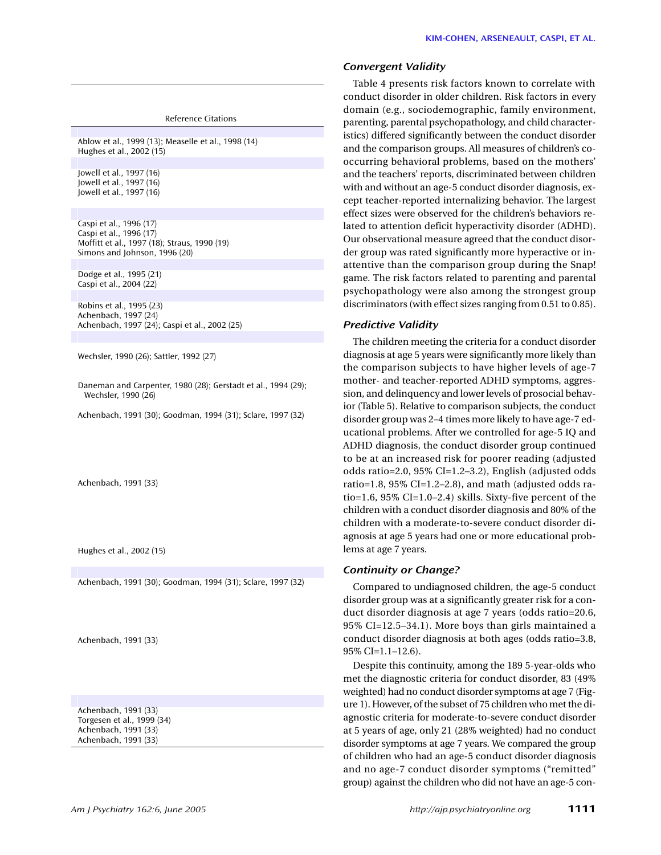Reference Citations

Ablow et al., 1999 (13); Measelle et al., 1998 (14) Hughes et al., 2002 (15)

Jowell et al., 1997 (16) Jowell et al., 1997 (16) Jowell et al., 1997 (16)

Caspi et al., 1996 (17) Caspi et al., 1996 (17) Moffitt et al., 1997 (18); Straus, 1990 (19) Simons and Johnson, 1996 (20)

Dodge et al., 1995 (21) Caspi et al., 2004 (22)

Robins et al., 1995 (23) Achenbach, 1997 (24) Achenbach, 1997 (24); Caspi et al., 2002 (25)

Wechsler, 1990 (26); Sattler, 1992 (27)

Daneman and Carpenter, 1980 (28); Gerstadt et al., 1994 (29); Wechsler, 1990 (26)

Achenbach, 1991 (30); Goodman, 1994 (31); Sclare, 1997 (32)

Achenbach, 1991 (33)

Hughes et al., 2002 (15)

Achenbach, 1991 (30); Goodman, 1994 (31); Sclare, 1997 (32)

Achenbach, 1991 (33)

Achenbach, 1991 (33) Torgesen et al., 1999 (34) Achenbach, 1991 (33) Achenbach, 1991 (33)

#### *Convergent Validity*

Table 4 presents risk factors known to correlate with conduct disorder in older children. Risk factors in every domain (e.g., sociodemographic, family environment, parenting, parental psychopathology, and child characteristics) differed significantly between the conduct disorder and the comparison groups. All measures of children's cooccurring behavioral problems, based on the mothers' and the teachers' reports, discriminated between children with and without an age-5 conduct disorder diagnosis, except teacher-reported internalizing behavior. The largest effect sizes were observed for the children's behaviors related to attention deficit hyperactivity disorder (ADHD). Our observational measure agreed that the conduct disorder group was rated significantly more hyperactive or inattentive than the comparison group during the Snap! game. The risk factors related to parenting and parental psychopathology were also among the strongest group discriminators (with effect sizes ranging from 0.51 to 0.85).

#### *Predictive Validity*

The children meeting the criteria for a conduct disorder diagnosis at age 5 years were significantly more likely than the comparison subjects to have higher levels of age-7 mother- and teacher-reported ADHD symptoms, aggression, and delinquency and lower levels of prosocial behavior (Table 5). Relative to comparison subjects, the conduct disorder group was 2–4 times more likely to have age-7 educational problems. After we controlled for age-5 IQ and ADHD diagnosis, the conduct disorder group continued to be at an increased risk for poorer reading (adjusted odds ratio=2.0, 95% CI=1.2–3.2), English (adjusted odds ratio=1.8,  $95\%$  CI=1.2–2.8), and math (adjusted odds ratio=1.6, 95% CI=1.0–2.4) skills. Sixty-five percent of the children with a conduct disorder diagnosis and 80% of the children with a moderate-to-severe conduct disorder diagnosis at age 5 years had one or more educational problems at age 7 years.

#### *Continuity or Change?*

Compared to undiagnosed children, the age-5 conduct disorder group was at a significantly greater risk for a conduct disorder diagnosis at age 7 years (odds ratio=20.6, 95% CI=12.5–34.1). More boys than girls maintained a conduct disorder diagnosis at both ages (odds ratio=3.8, 95% CI=1.1–12.6).

Despite this continuity, among the 189 5-year-olds who met the diagnostic criteria for conduct disorder, 83 (49% weighted) had no conduct disorder symptoms at age 7 (Figure 1). However, of the subset of 75 children who met the diagnostic criteria for moderate-to-severe conduct disorder at 5 years of age, only 21 (28% weighted) had no conduct disorder symptoms at age 7 years. We compared the group of children who had an age-5 conduct disorder diagnosis and no age-7 conduct disorder symptoms ("remitted" group) against the children who did not have an age-5 con-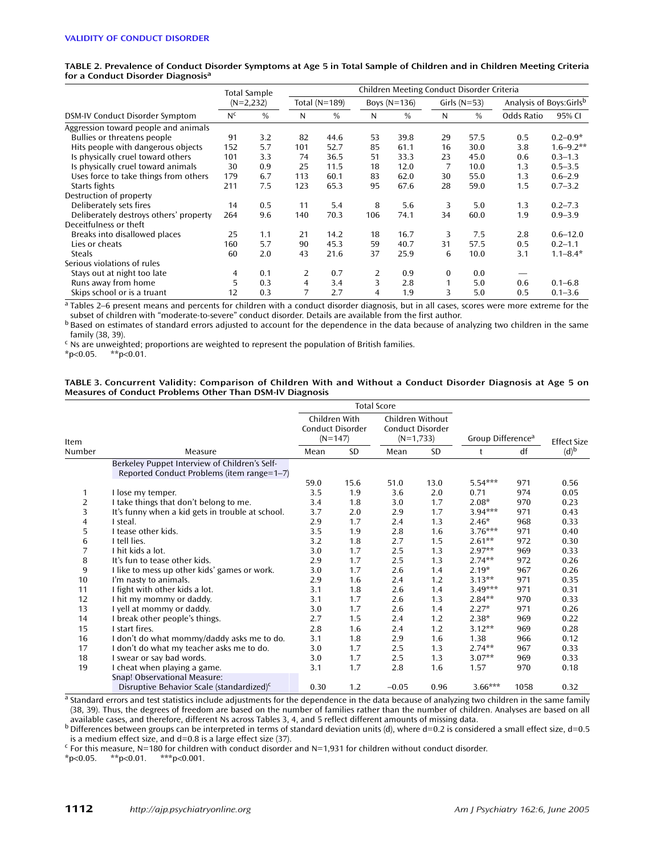|                                        |                | Total Sample  | Children Meeting Conduct Disorder Criteria |               |     |                |    |                |                          |               |  |  |
|----------------------------------------|----------------|---------------|--------------------------------------------|---------------|-----|----------------|----|----------------|--------------------------|---------------|--|--|
|                                        |                | $(N=2,232)$   |                                            | Total (N=189) |     | Boys $(N=136)$ |    | Girls $(N=53)$ | Analysis of Boys: Girlsb |               |  |  |
| DSM-IV Conduct Disorder Symptom        | N <sub>c</sub> | $\frac{0}{0}$ | N                                          | $\frac{0}{0}$ | N   | $\frac{0}{0}$  | N  | $\%$           | <b>Odds Ratio</b>        | 95% CI        |  |  |
| Aggression toward people and animals   |                |               |                                            |               |     |                |    |                |                          |               |  |  |
| Bullies or threatens people            | 91             | 3.2           | 82                                         | 44.6          | 53  | 39.8           | 29 | 57.5           | 0.5                      | $0.2 - 0.9*$  |  |  |
| Hits people with dangerous objects     | 152            | 5.7           | 101                                        | 52.7          | 85  | 61.1           | 16 | 30.0           | 3.8                      | $1.6 - 9.2**$ |  |  |
| Is physically cruel toward others      | 101            | 3.3           | 74                                         | 36.5          | 51  | 33.3           | 23 | 45.0           | 0.6                      | $0.3 - 1.3$   |  |  |
| Is physically cruel toward animals     | 30             | 0.9           | 25                                         | 11.5          | 18  | 12.0           | 7  | 10.0           | 1.3                      | $0.5 - 3.5$   |  |  |
| Uses force to take things from others  | 179            | 6.7           | 113                                        | 60.1          | 83  | 62.0           | 30 | 55.0           | 1.3                      | $0.6 - 2.9$   |  |  |
| Starts fights                          | 211            | 7.5           | 123                                        | 65.3          | 95  | 67.6           | 28 | 59.0           | 1.5                      | $0.7 - 3.2$   |  |  |
| Destruction of property                |                |               |                                            |               |     |                |    |                |                          |               |  |  |
| Deliberately sets fires                | 14             | 0.5           | 11                                         | 5.4           | 8   | 5.6            | 3  | 5.0            | 1.3                      | $0.2 - 7.3$   |  |  |
| Deliberately destroys others' property | 264            | 9.6           | 140                                        | 70.3          | 106 | 74.1           | 34 | 60.0           | 1.9                      | $0.9 - 3.9$   |  |  |
| Deceitfulness or theft                 |                |               |                                            |               |     |                |    |                |                          |               |  |  |
| Breaks into disallowed places          | 25             | 1.1           | 21                                         | 14.2          | 18  | 16.7           | 3  | 7.5            | 2.8                      | $0.6 - 12.0$  |  |  |
| Lies or cheats                         | 160            | 5.7           | 90                                         | 45.3          | 59  | 40.7           | 31 | 57.5           | 0.5                      | $0.2 - 1.1$   |  |  |
| <b>Steals</b>                          | 60             | 2.0           | 43                                         | 21.6          | 37  | 25.9           | 6  | 10.0           | 3.1                      | $1.1 - 8.4*$  |  |  |
| Serious violations of rules            |                |               |                                            |               |     |                |    |                |                          |               |  |  |
| Stays out at night too late            | 4              | 0.1           | 2                                          | 0.7           | 2   | 0.9            | 0  | 0.0            |                          |               |  |  |
| Runs away from home                    | 5              | 0.3           | $\overline{4}$                             | 3.4           | 3   | 2.8            | 1  | 5.0            | 0.6                      | $0.1 - 6.8$   |  |  |
| Skips school or is a truant            | 12             | 0.3           | $\overline{7}$                             | 2.7           | 4   | 1.9            | 3  | 5.0            | 0.5                      | $0.1 - 3.6$   |  |  |

**TABLE 2. Prevalence of Conduct Disorder Symptoms at Age 5 in Total Sample of Children and in Children Meeting Criteria for a Conduct Disorder Diagnosis<sup>a</sup>**

 $a$  Tables 2–6 present means and percents for children with a conduct disorder diagnosis, but in all cases, scores were more extreme for the subset of children with "moderate-to-severe" conduct disorder. Details are avail

b Based on estimates of standard errors adjusted to account for the dependence in the data because of analyzing two children in the same family (38, 39).

<sup>c</sup> Ns are unweighted; proportions are weighted to represent the population of British families.

 $*p<0.05$ .

#### **TABLE 3. Concurrent Validity: Comparison of Children With and Without a Conduct Disorder Diagnosis at Age 5 on Measures of Conduct Problems Other Than DSM-IV Diagnosis**

| Item           |                                                                                             |      | Children With<br>Conduct Disorder<br>$(N=147)$ |         | Children Without<br><b>Conduct Disorder</b><br>$(N=1,733)$ | Group Difference <sup>a</sup> |      | <b>Effect Size</b> |
|----------------|---------------------------------------------------------------------------------------------|------|------------------------------------------------|---------|------------------------------------------------------------|-------------------------------|------|--------------------|
| Number         | Measure                                                                                     | Mean | <b>SD</b>                                      | Mean    | <b>SD</b>                                                  | t                             | df   | $(d)^b$            |
|                | Berkeley Puppet Interview of Children's Self-<br>Reported Conduct Problems (item range=1-7) |      |                                                |         |                                                            |                               |      |                    |
|                |                                                                                             | 59.0 | 15.6                                           | 51.0    | 13.0                                                       | $5.54***$                     | 971  | 0.56               |
| 1              | I lose my temper.                                                                           | 3.5  | 1.9                                            | 3.6     | 2.0                                                        | 0.71                          | 974  | 0.05               |
| $\overline{2}$ | I take things that don't belong to me.                                                      | 3.4  | 1.8                                            | 3.0     | 1.7                                                        | $2.08*$                       | 970  | 0.23               |
| 3              | It's funny when a kid gets in trouble at school.                                            | 3.7  | 2.0                                            | 2.9     | 1.7                                                        | $3.94***$                     | 971  | 0.43               |
| 4              | I steal.                                                                                    | 2.9  | 1.7                                            | 2.4     | 1.3                                                        | $2.46*$                       | 968  | 0.33               |
| 5              | I tease other kids.                                                                         | 3.5  | 1.9                                            | 2.8     | 1.6                                                        | $3.76***$                     | 971  | 0.40               |
| 6              | I tell lies.                                                                                | 3.2  | 1.8                                            | 2.7     | 1.5                                                        | $2.61**$                      | 972  | 0.30               |
| 7              | I hit kids a lot.                                                                           | 3.0  | 1.7                                            | 2.5     | 1.3                                                        | $2.97**$                      | 969  | 0.33               |
| 8              | It's fun to tease other kids.                                                               | 2.9  | 1.7                                            | 2.5     | 1.3                                                        | $2.74**$                      | 972  | 0.26               |
| 9              | I like to mess up other kids' games or work.                                                | 3.0  | 1.7                                            | 2.6     | 1.4                                                        | $2.19*$                       | 967  | 0.26               |
| 10             | I'm nasty to animals.                                                                       | 2.9  | 1.6                                            | 2.4     | 1.2                                                        | $3.13**$                      | 971  | 0.35               |
| 11             | I fight with other kids a lot.                                                              | 3.1  | 1.8                                            | 2.6     | 1.4                                                        | $3.49***$                     | 971  | 0.31               |
| 12             | I hit my mommy or daddy.                                                                    | 3.1  | 1.7                                            | 2.6     | 1.3                                                        | $2.84**$                      | 970  | 0.33               |
| 13             | I yell at mommy or daddy.                                                                   | 3.0  | 1.7                                            | 2.6     | 1.4                                                        | $2.27*$                       | 971  | 0.26               |
| 14             | I break other people's things.                                                              | 2.7  | 1.5                                            | 2.4     | 1.2                                                        | $2.38*$                       | 969  | 0.22               |
| 15             | I start fires.                                                                              | 2.8  | 1.6                                            | 2.4     | 1.2                                                        | $3.12**$                      | 969  | 0.28               |
| 16             | I don't do what mommy/daddy asks me to do.                                                  | 3.1  | 1.8                                            | 2.9     | 1.6                                                        | 1.38                          | 966  | 0.12               |
| 17             | I don't do what my teacher asks me to do.                                                   | 3.0  | 1.7                                            | 2.5     | 1.3                                                        | $2.74**$                      | 967  | 0.33               |
| 18             | I swear or say bad words.                                                                   | 3.0  | 1.7                                            | 2.5     | 1.3                                                        | $3.07**$                      | 969  | 0.33               |
| 19             | I cheat when playing a game.                                                                | 3.1  | 1.7                                            | 2.8     | 1.6                                                        | 1.57                          | 970  | 0.18               |
|                | Snap! Observational Measure:                                                                |      |                                                |         |                                                            |                               |      |                    |
|                | Disruptive Behavior Scale (standardized) <sup>c</sup>                                       | 0.30 | 1.2                                            | $-0.05$ | 0.96                                                       | $3.66***$                     | 1058 | 0.32               |

 $a$  Standard errors and test statistics include adjustments for the dependence in the data because of analyzing two children in the same family (38, 39). Thus, the degrees of freedom are based on the number of families rather than the number of children. Analyses are based on all available cases, and therefore, different Ns across Tables 3, 4, and 5 reflect different amounts of missing data.

<sup>b</sup> Differences between groups can be interpreted in terms of standard deviation units (d), where d=0.2 is considered a small effect size, d=0.5 is a medium effect size, and d=0.8 is a large effect size (37).

<sup>c</sup> For this measure, N=180 for children with conduct disorder and N=1,931 for children without conduct disorder.

 $***p<0.001$ .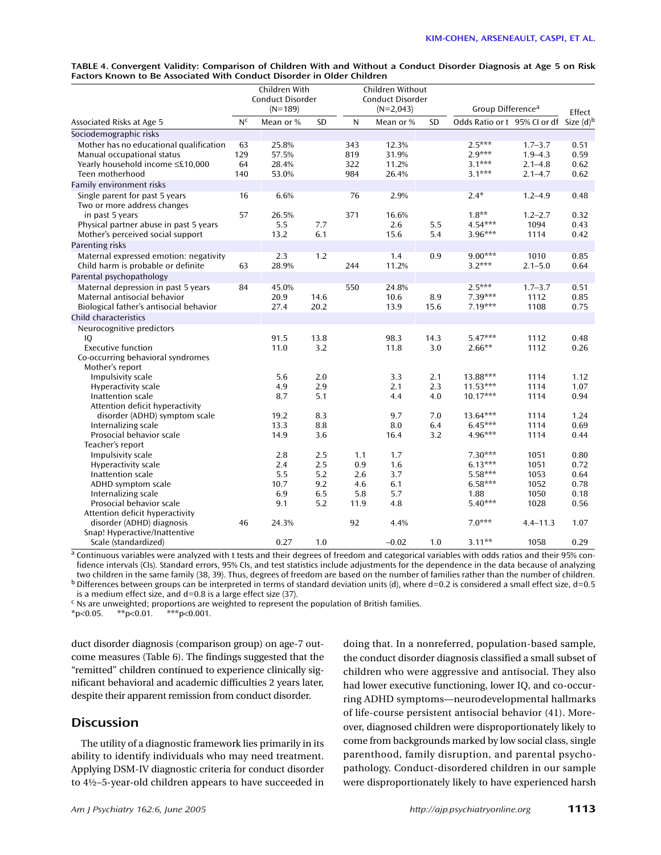| TABLE 4. Convergent Validity: Comparison of Children With and Without a Conduct Disorder Diagnosis at Age 5 on Risk |  |
|---------------------------------------------------------------------------------------------------------------------|--|
| Factors Known to Be Associated With Conduct Disorder in Older Children                                              |  |

|                                                                                                                              |                        | Children With<br>Conduct Disorder<br>$(N=189)$ |              |                          | Children Without<br>Conduct Disorder<br>$(N=2,043)$ |             | Group Difference <sup>a</sup>                | Effect                                                   |                              |
|------------------------------------------------------------------------------------------------------------------------------|------------------------|------------------------------------------------|--------------|--------------------------|-----------------------------------------------------|-------------|----------------------------------------------|----------------------------------------------------------|------------------------------|
| Associated Risks at Age 5                                                                                                    | N <sub>c</sub>         | Mean or %                                      | SD           | N                        | Mean or %                                           | SD          | Odds Ratio or t 95% CI or df Size (d)b       |                                                          |                              |
| Sociodemographic risks                                                                                                       |                        |                                                |              |                          |                                                     |             |                                              |                                                          |                              |
| Mother has no educational qualification<br>Manual occupational status<br>Yearly household income ≤£10,000<br>Teen motherhood | 63<br>129<br>64<br>140 | 25.8%<br>57.5%<br>28.4%<br>53.0%               |              | 343<br>819<br>322<br>984 | 12.3%<br>31.9%<br>11.2%<br>26.4%                    |             | $2.5***$<br>$2.9***$<br>$3.1***$<br>$3.1***$ | $1.7 - 3.7$<br>$1.9 - 4.3$<br>$2.1 - 4.8$<br>$2.1 - 4.7$ | 0.51<br>0.59<br>0.62<br>0.62 |
| Family environment risks                                                                                                     |                        |                                                |              |                          |                                                     |             |                                              |                                                          |                              |
| Single parent for past 5 years<br>Two or more address changes                                                                | 16                     | 6.6%                                           |              | 76                       | 2.9%                                                |             | $2.4*$                                       | $1.2 - 4.9$                                              | 0.48                         |
| in past 5 years<br>Physical partner abuse in past 5 years<br>Mother's perceived social support                               | 57                     | 26.5%<br>5.5<br>13.2                           | 7.7<br>6.1   | 371                      | 16.6%<br>2.6<br>15.6                                | 5.5<br>5.4  | $1.8**$<br>$4.54***$<br>$3.96***$            | $1.2 - 2.7$<br>1094<br>1114                              | 0.32<br>0.43<br>0.42         |
| Parenting risks                                                                                                              |                        |                                                |              |                          |                                                     |             |                                              |                                                          |                              |
| Maternal expressed emotion: negativity<br>Child harm is probable or definite                                                 | 63                     | 2.3<br>28.9%                                   | 1.2          | 244                      | 1.4<br>11.2%                                        | 0.9         | $9.00***$<br>$3.2***$                        | 1010<br>$2.1 - 5.0$                                      | 0.85<br>0.64                 |
| Parental psychopathology                                                                                                     |                        |                                                |              |                          |                                                     |             |                                              |                                                          |                              |
| Maternal depression in past 5 years<br>Maternal antisocial behavior<br>Biological father's antisocial behavior               | 84                     | 45.0%<br>20.9<br>27.4                          | 14.6<br>20.2 | 550                      | 24.8%<br>10.6<br>13.9                               | 8.9<br>15.6 | $2.5***$<br>$7.39***$<br>$7.19***$           | $1.7 - 3.7$<br>1112<br>1108                              | 0.51<br>0.85<br>0.75         |
| Child characteristics                                                                                                        |                        |                                                |              |                          |                                                     |             |                                              |                                                          |                              |
| Neurocognitive predictors                                                                                                    |                        |                                                |              |                          |                                                     |             |                                              |                                                          |                              |
| IO<br><b>Executive function</b><br>Co-occurring behavioral syndromes<br>Mother's report                                      |                        | 91.5<br>11.0                                   | 13.8<br>3.2  |                          | 98.3<br>11.8                                        | 14.3<br>3.0 | $5.47***$<br>$2.66**$                        | 1112<br>1112                                             | 0.48<br>0.26                 |
| Impulsivity scale                                                                                                            |                        | 5.6                                            | 2.0          |                          | 3.3                                                 | 2.1         | 13.88***                                     | 1114                                                     | 1.12                         |
| <b>Hyperactivity scale</b>                                                                                                   |                        | 4.9                                            | 2.9          |                          | 2.1                                                 | 2.3         | $11.53***$                                   | 1114                                                     | 1.07                         |
| Inattention scale<br>Attention deficit hyperactivity                                                                         |                        | 8.7                                            | 5.1          |                          | 4.4                                                 | 4.0         | $10.17***$                                   | 1114                                                     | 0.94                         |
| disorder (ADHD) symptom scale                                                                                                |                        | 19.2                                           | 8.3          |                          | 9.7                                                 | 7.0         | $13.64***$                                   | 1114                                                     | 1.24                         |
| Internalizing scale                                                                                                          |                        | 13.3                                           | 8.8          |                          | 8.0                                                 | 6.4         | $6.45***$                                    | 1114                                                     | 0.69                         |
| Prosocial behavior scale                                                                                                     |                        | 14.9                                           | 3.6          |                          | 16.4                                                | 3.2         | 4.96***                                      | 1114                                                     | 0.44                         |
| Teacher's report<br>Impulsivity scale                                                                                        |                        | 2.8                                            | 2.5          | 1.1                      | 1.7                                                 |             | $7.30***$                                    | 1051                                                     | 0.80                         |
| Hyperactivity scale                                                                                                          |                        | 2.4                                            | 2.5          | 0.9                      | 1.6                                                 |             | $6.13***$                                    | 1051                                                     | 0.72                         |
| Inattention scale                                                                                                            |                        | 5.5                                            | 5.2          | 2.6                      | 3.7                                                 |             | $5.58***$                                    | 1053                                                     | 0.64                         |
| ADHD symptom scale                                                                                                           |                        | 10.7                                           | 9.2          | 4.6                      | 6.1                                                 |             | $6.58***$                                    | 1052                                                     | 0.78                         |
| Internalizing scale                                                                                                          |                        | 6.9                                            | 6.5          | 5.8                      | 5.7                                                 |             | 1.88                                         | 1050                                                     | 0.18                         |
| Prosocial behavior scale                                                                                                     |                        | 9.1                                            | 5.2          | 11.9                     | 4.8                                                 |             | $5.40***$                                    | 1028                                                     | 0.56                         |
| Attention deficit hyperactivity                                                                                              |                        |                                                |              |                          |                                                     |             |                                              |                                                          |                              |
| disorder (ADHD) diagnosis<br>Snap! Hyperactive/Inattentive                                                                   | 46                     | 24.3%                                          |              | 92                       | 4.4%                                                |             | $7.0***$                                     | $4.4 - 11.3$                                             | 1.07                         |
| Scale (standardized)                                                                                                         |                        | 0.27                                           | 1.0          |                          | $-0.02$                                             | 1.0         | $3.11***$                                    | 1058                                                     | 0.29                         |

 $\frac{1}{4}$  Continuous variables were analyzed with t tests and their degrees of freedom and categorical variables with odds ratios and their 95% confidence intervals (CIs). Standard errors, 95% CIs, and test statistics include adjustments for the dependence in the data because of analyzing two children in the same family (38, 39). Thus, degrees of freedom are based on  $b$  Differences between groups can be interpreted in terms of standard deviation units (d), where d=0.2 is considered a small effect size, d=0.5

is a medium effect size, and d=0.8 is a large effect size (37).

<sup>c</sup> Ns are unweighted; proportions are weighted to represent the population of British families.

 $***p<0.001$ .

duct disorder diagnosis (comparison group) on age-7 outcome measures (Table 6). The findings suggested that the "remitted" children continued to experience clinically significant behavioral and academic difficulties 2 years later, despite their apparent remission from conduct disorder.

## **Discussion**

The utility of a diagnostic framework lies primarily in its ability to identify individuals who may need treatment. Applying DSM-IV diagnostic criteria for conduct disorder to 4½–5-year-old children appears to have succeeded in doing that. In a nonreferred, population-based sample, the conduct disorder diagnosis classified a small subset of children who were aggressive and antisocial. They also had lower executive functioning, lower IQ, and co-occurring ADHD symptoms—neurodevelopmental hallmarks of life-course persistent antisocial behavior (41). Moreover, diagnosed children were disproportionately likely to come from backgrounds marked by low social class, single parenthood, family disruption, and parental psychopathology. Conduct-disordered children in our sample were disproportionately likely to have experienced harsh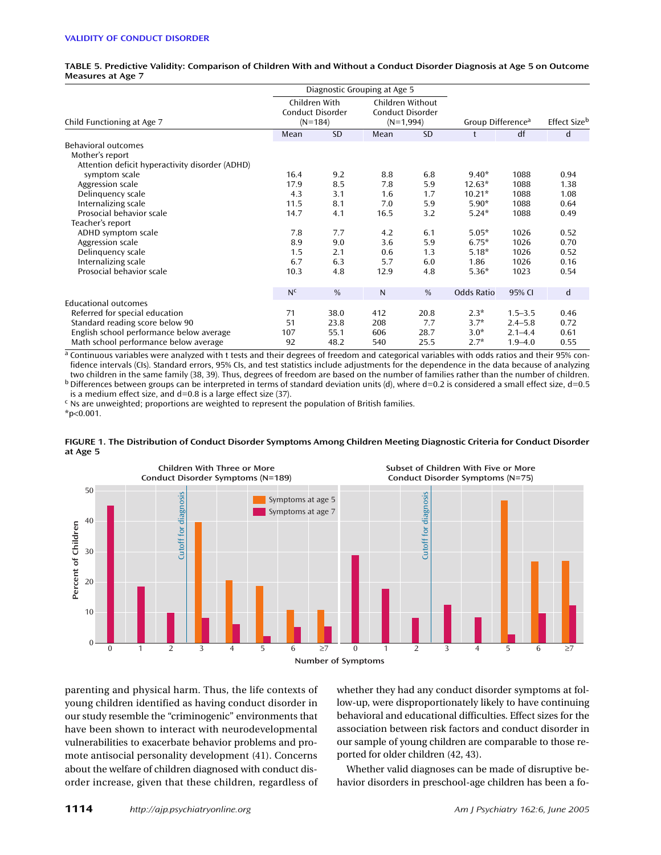|                                                 |                                                |           | Diagnostic Grouping at Age 5                        |           |                               |             |              |  |
|-------------------------------------------------|------------------------------------------------|-----------|-----------------------------------------------------|-----------|-------------------------------|-------------|--------------|--|
| Child Functioning at Age 7                      | Children With<br>Conduct Disorder<br>$(N=184)$ |           | Children Without<br>Conduct Disorder<br>$(N=1,994)$ |           | Group Difference <sup>a</sup> |             | Effect Sizeb |  |
|                                                 | Mean                                           | <b>SD</b> | Mean                                                | <b>SD</b> | $^{\dagger}$                  | df          | d            |  |
| <b>Behavioral outcomes</b>                      |                                                |           |                                                     |           |                               |             |              |  |
| Mother's report                                 |                                                |           |                                                     |           |                               |             |              |  |
| Attention deficit hyperactivity disorder (ADHD) |                                                |           |                                                     |           |                               |             |              |  |
| symptom scale                                   | 16.4                                           | 9.2       | 8.8                                                 | 6.8       | $9.40*$                       | 1088        | 0.94         |  |
| Aggression scale                                | 17.9                                           | 8.5       | 7.8                                                 | 5.9       | $12.63*$                      | 1088        | 1.38         |  |
| Delinguency scale                               | 4.3                                            | 3.1       | 1.6                                                 | 1.7       | $10.21*$                      | 1088        | 1.08         |  |
| Internalizing scale                             | 11.5                                           | 8.1       | 7.0                                                 | 5.9       | $5.90*$                       | 1088        | 0.64         |  |
| Prosocial behavior scale                        | 14.7                                           | 4.1       | 16.5                                                | 3.2       | $5.24*$                       | 1088        | 0.49         |  |
| Teacher's report                                |                                                |           |                                                     |           |                               |             |              |  |
| ADHD symptom scale                              | 7.8                                            | 7.7       | 4.2                                                 | 6.1       | $5.05*$                       | 1026        | 0.52         |  |
| Aggression scale                                | 8.9                                            | 9.0       | 3.6                                                 | 5.9       | $6.75*$                       | 1026        | 0.70         |  |
| Delinguency scale                               | 1.5                                            | 2.1       | 0.6                                                 | 1.3       | $5.18*$                       | 1026        | 0.52         |  |
| Internalizing scale                             | 6.7                                            | 6.3       | 5.7                                                 | 6.0       | 1.86                          | 1026        | 0.16         |  |
| Prosocial behavior scale                        | 10.3                                           | 4.8       | 12.9                                                | 4.8       | $5.36*$                       | 1023        | 0.54         |  |
|                                                 | N <sup>c</sup>                                 | $\%$      | N                                                   | $\%$      | Odds Ratio                    | 95% CI      | d            |  |
| <b>Educational outcomes</b>                     |                                                |           |                                                     |           |                               |             |              |  |
| Referred for special education                  | 71                                             | 38.0      | 412                                                 | 20.8      | $2.3*$                        | $1.5 - 3.5$ | 0.46         |  |
| Standard reading score below 90                 | 51                                             | 23.8      | 208                                                 | 7.7       | $3.7*$                        | $2.4 - 5.8$ | 0.72         |  |
| English school performance below average        | 107                                            | 55.1      | 606                                                 | 28.7      | $3.0*$                        | $2.1 - 4.4$ | 0.61         |  |
| Math school performance below average           | 92                                             | 48.2      | 540                                                 | 25.5      | $2.7*$                        | $1.9 - 4.0$ | 0.55         |  |

**TABLE 5. Predictive Validity: Comparison of Children With and Without a Conduct Disorder Diagnosis at Age 5 on Outcome Measures at Age 7**

a Continuous variables were analyzed with t tests and their degrees of freedom and categorical variables with odds ratios and their 95% confidence intervals (CIs). Standard errors, 95% CIs, and test statistics include adjustments for the dependence in the data because of analyzing two children in the same family (38, 39). Thus, degrees of freedom are based on the number of families rather than the number of children.<br>b Differences between groups can be interpreted in terms of standard deviation uni

is a medium effect size, and d=0.8 is a large effect size (37).

<sup>c</sup> Ns are unweighted; proportions are weighted to represent the population of British families. \*p<0.001.





parenting and physical harm. Thus, the life contexts of young children identified as having conduct disorder in our study resemble the "criminogenic" environments that have been shown to interact with neurodevelopmental vulnerabilities to exacerbate behavior problems and promote antisocial personality development (41). Concerns about the welfare of children diagnosed with conduct disorder increase, given that these children, regardless of whether they had any conduct disorder symptoms at follow-up, were disproportionately likely to have continuing behavioral and educational difficulties. Effect sizes for the association between risk factors and conduct disorder in our sample of young children are comparable to those reported for older children (42, 43).

Whether valid diagnoses can be made of disruptive behavior disorders in preschool-age children has been a fo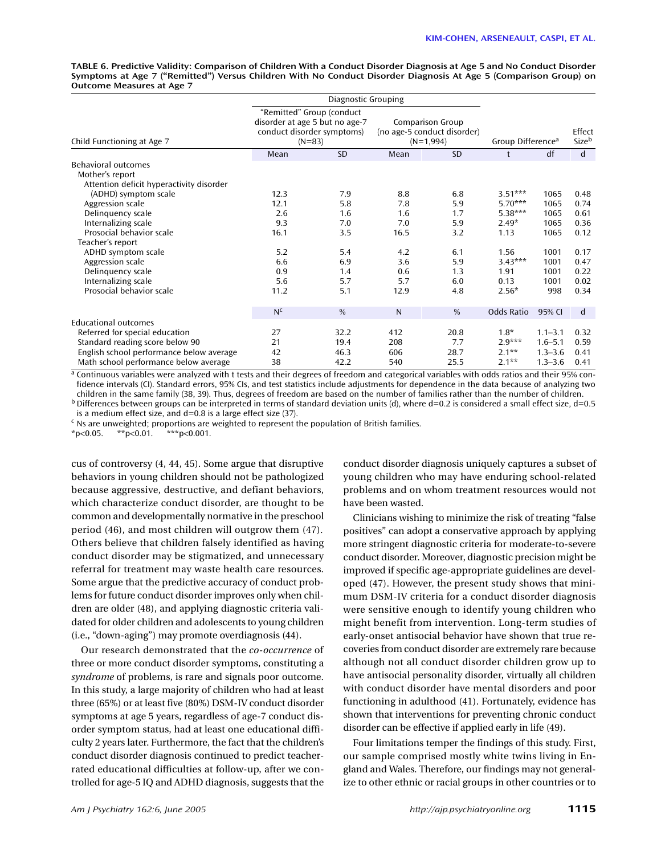**TABLE 6. Predictive Validity: Comparison of Children With a Conduct Disorder Diagnosis at Age 5 and No Conduct Disorder Symptoms at Age 7 ("Remitted") Versus Children With No Conduct Disorder Diagnosis At Age 5 (Comparison Group) on Outcome Measures at Age 7**

|                                          |                | Diagnostic Grouping                                                                                   |      |                                                                       |                               |                 |             |
|------------------------------------------|----------------|-------------------------------------------------------------------------------------------------------|------|-----------------------------------------------------------------------|-------------------------------|-----------------|-------------|
| Child Functioning at Age 7               |                | "Remitted" Group (conduct<br>disorder at age 5 but no age-7<br>conduct disorder symptoms)<br>$(N=83)$ |      | <b>Comparison Group</b><br>(no age-5 conduct disorder)<br>$(N=1,994)$ | Group Difference <sup>a</sup> | Effect<br>Sizeb |             |
|                                          | Mean           | <b>SD</b>                                                                                             | Mean | <b>SD</b>                                                             | t                             | df              | $\mathbf d$ |
| <b>Behavioral outcomes</b>               |                |                                                                                                       |      |                                                                       |                               |                 |             |
| Mother's report                          |                |                                                                                                       |      |                                                                       |                               |                 |             |
| Attention deficit hyperactivity disorder |                |                                                                                                       |      |                                                                       |                               |                 |             |
| (ADHD) symptom scale                     | 12.3           | 7.9                                                                                                   | 8.8  | 6.8                                                                   | $3.51***$                     | 1065            | 0.48        |
| Aggression scale                         | 12.1           | 5.8                                                                                                   | 7.8  | 5.9                                                                   | $5.70***$                     | 1065            | 0.74        |
| Delinguency scale                        | 2.6            | 1.6                                                                                                   | 1.6  | 1.7                                                                   | $5.38***$                     | 1065            | 0.61        |
| Internalizing scale                      | 9.3            | 7.0                                                                                                   | 7.0  | 5.9                                                                   | $2.49*$                       | 1065            | 0.36        |
| Prosocial behavior scale                 | 16.1           | 3.5                                                                                                   | 16.5 | 3.2                                                                   | 1.13                          | 1065            | 0.12        |
| Teacher's report                         |                |                                                                                                       |      |                                                                       |                               |                 |             |
| ADHD symptom scale                       | 5.2            | 5.4                                                                                                   | 4.2  | 6.1                                                                   | 1.56                          | 1001            | 0.17        |
| Aggression scale                         | 6.6            | 6.9                                                                                                   | 3.6  | 5.9                                                                   | $3.43***$                     | 1001            | 0.47        |
| Delinguency scale                        | 0.9            | 1.4                                                                                                   | 0.6  | 1.3                                                                   | 1.91                          | 1001            | 0.22        |
| Internalizing scale                      | 5.6            | 5.7                                                                                                   | 5.7  | 6.0                                                                   | 0.13                          | 1001            | 0.02        |
| Prosocial behavior scale                 | 11.2           | 5.1                                                                                                   | 12.9 | 4.8                                                                   | $2.56*$                       | 998             | 0.34        |
|                                          | N <sup>c</sup> | $\frac{0}{0}$                                                                                         | N    | %                                                                     | Odds Ratio                    | 95% CI          | d           |
| <b>Educational outcomes</b>              |                |                                                                                                       |      |                                                                       |                               |                 |             |
| Referred for special education           | 27             | 32.2                                                                                                  | 412  | 20.8                                                                  | $1.8*$                        | $1.1 - 3.1$     | 0.32        |
| Standard reading score below 90          | 21             | 19.4                                                                                                  | 208  | 7.7                                                                   | $2.9***$                      | $1.6 - 5.1$     | 0.59        |
| English school performance below average | 42             | 46.3                                                                                                  | 606  | 28.7                                                                  | $2.1**$                       | $1.3 - 3.6$     | 0.41        |
| Math school performance below average    | 38             | 42.2                                                                                                  | 540  | 25.5                                                                  | $2.1**$                       | $1.3 - 3.6$     | 0.41        |

a Continuous variables were analyzed with t tests and their degrees of freedom and categorical variables with odds ratios and their 95% confidence intervals (CI). Standard errors, 95% CIs, and test statistics include adjustments for dependence in the data because of analyzing two

children in the same family (38, 39). Thus, degrees of freedom are based on the number of families rather than the number of children.<br><sup>b</sup> Differences between groups can be interpreted in terms of standard deviation units is a medium effect size, and d=0.8 is a large effect size (37).

 $c$  Ns are unweighted; proportions are weighted to represent the population of British families.

 $*p<0.05$ .  $*p<0.01$ .  $**p<0.001$ .

cus of controversy (4, 44, 45). Some argue that disruptive behaviors in young children should not be pathologized because aggressive, destructive, and defiant behaviors, which characterize conduct disorder, are thought to be common and developmentally normative in the preschool period (46), and most children will outgrow them (47). Others believe that children falsely identified as having conduct disorder may be stigmatized, and unnecessary referral for treatment may waste health care resources. Some argue that the predictive accuracy of conduct problems for future conduct disorder improves only when children are older (48), and applying diagnostic criteria validated for older children and adolescents to young children (i.e., "down-aging") may promote overdiagnosis (44).

Our research demonstrated that the *co-occurrence* of three or more conduct disorder symptoms, constituting a *syndrome* of problems, is rare and signals poor outcome. In this study, a large majority of children who had at least three (65%) or at least five (80%) DSM-IV conduct disorder symptoms at age 5 years, regardless of age-7 conduct disorder symptom status, had at least one educational difficulty 2 years later. Furthermore, the fact that the children's conduct disorder diagnosis continued to predict teacherrated educational difficulties at follow-up, after we controlled for age-5 IQ and ADHD diagnosis, suggests that the conduct disorder diagnosis uniquely captures a subset of young children who may have enduring school-related problems and on whom treatment resources would not have been wasted.

Clinicians wishing to minimize the risk of treating "false positives" can adopt a conservative approach by applying more stringent diagnostic criteria for moderate-to-severe conduct disorder. Moreover, diagnostic precision might be improved if specific age-appropriate guidelines are developed (47). However, the present study shows that minimum DSM-IV criteria for a conduct disorder diagnosis were sensitive enough to identify young children who might benefit from intervention. Long-term studies of early-onset antisocial behavior have shown that true recoveries from conduct disorder are extremely rare because although not all conduct disorder children grow up to have antisocial personality disorder, virtually all children with conduct disorder have mental disorders and poor functioning in adulthood (41). Fortunately, evidence has shown that interventions for preventing chronic conduct disorder can be effective if applied early in life (49).

Four limitations temper the findings of this study. First, our sample comprised mostly white twins living in England and Wales. Therefore, our findings may not generalize to other ethnic or racial groups in other countries or to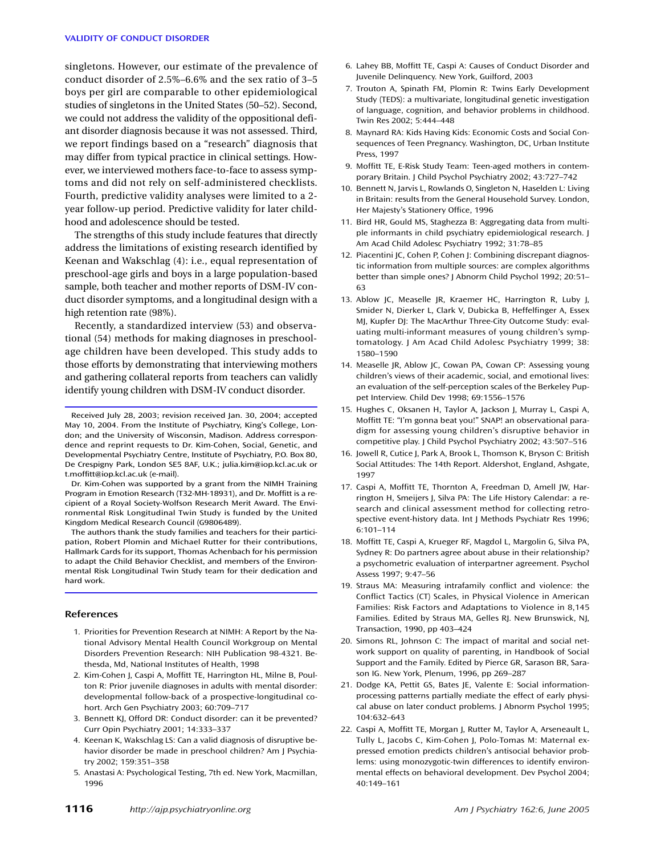#### **VALIDITY OF CONDUCT DISORDER**

singletons. However, our estimate of the prevalence of conduct disorder of 2.5%–6.6% and the sex ratio of 3–5 boys per girl are comparable to other epidemiological studies of singletons in the United States (50–52). Second, we could not address the validity of the oppositional defiant disorder diagnosis because it was not assessed. Third, we report findings based on a "research" diagnosis that may differ from typical practice in clinical settings. However, we interviewed mothers face-to-face to assess symptoms and did not rely on self-administered checklists. Fourth, predictive validity analyses were limited to a 2 year follow-up period. Predictive validity for later childhood and adolescence should be tested.

The strengths of this study include features that directly address the limitations of existing research identified by Keenan and Wakschlag (4): i.e., equal representation of preschool-age girls and boys in a large population-based sample, both teacher and mother reports of DSM-IV conduct disorder symptoms, and a longitudinal design with a high retention rate (98%).

Recently, a standardized interview (53) and observational (54) methods for making diagnoses in preschoolage children have been developed. This study adds to those efforts by demonstrating that interviewing mothers and gathering collateral reports from teachers can validly identify young children with DSM-IV conduct disorder.

Dr. Kim-Cohen was supported by a grant from the NIMH Training Program in Emotion Research (T32-MH-18931), and Dr. Moffitt is a recipient of a Royal Society-Wolfson Research Merit Award. The Environmental Risk Longitudinal Twin Study is funded by the United Kingdom Medical Research Council (G9806489).

The authors thank the study families and teachers for their participation, Robert Plomin and Michael Rutter for their contributions, Hallmark Cards for its support, Thomas Achenbach for his permission to adapt the Child Behavior Checklist, and members of the Environmental Risk Longitudinal Twin Study team for their dedication and hard work.

#### **References**

- 1. Priorities for Prevention Research at NIMH: A Report by the National Advisory Mental Health Council Workgroup on Mental Disorders Prevention Research: NIH Publication 98-4321. Bethesda, Md, National Institutes of Health, 1998
- 2. Kim-Cohen J, Caspi A, Moffitt TE, Harrington HL, Milne B, Poulton R: Prior juvenile diagnoses in adults with mental disorder: developmental follow-back of a prospective-longitudinal cohort. Arch Gen Psychiatry 2003; 60:709–717
- 3. Bennett KJ, Offord DR: Conduct disorder: can it be prevented? Curr Opin Psychiatry 2001; 14:333–337
- 4. Keenan K, Wakschlag LS: Can a valid diagnosis of disruptive behavior disorder be made in preschool children? Am J Psychiatry 2002; 159:351–358
- 5. Anastasi A: Psychological Testing, 7th ed. New York, Macmillan, 1996
- **1116** *Am J Psychiatry 162:6, June 2005 http://ajp.psychiatryonline.org*
- 6. Lahey BB, Moffitt TE, Caspi A: Causes of Conduct Disorder and Juvenile Delinquency. New York, Guilford, 2003
- 7. Trouton A, Spinath FM, Plomin R: Twins Early Development Study (TEDS): a multivariate, longitudinal genetic investigation of language, cognition, and behavior problems in childhood. Twin Res 2002; 5:444–448
- 8. Maynard RA: Kids Having Kids: Economic Costs and Social Consequences of Teen Pregnancy. Washington, DC, Urban Institute Press, 1997
- 9. Moffitt TE, E-Risk Study Team: Teen-aged mothers in contemporary Britain. J Child Psychol Psychiatry 2002; 43:727–742
- 10. Bennett N, Jarvis L, Rowlands O, Singleton N, Haselden L: Living in Britain: results from the General Household Survey. London, Her Majesty's Stationery Office, 1996
- 11. Bird HR, Gould MS, Staghezza B: Aggregating data from multiple informants in child psychiatry epidemiological research. J Am Acad Child Adolesc Psychiatry 1992; 31:78–85
- 12. Piacentini JC, Cohen P, Cohen J: Combining discrepant diagnostic information from multiple sources: are complex algorithms better than simple ones? J Abnorm Child Psychol 1992; 20:51– 63
- 13. Ablow JC, Measelle JR, Kraemer HC, Harrington R, Luby J, Smider N, Dierker L, Clark V, Dubicka B, Heffelfinger A, Essex MJ, Kupfer DJ: The MacArthur Three-City Outcome Study: evaluating multi-informant measures of young children's symptomatology. J Am Acad Child Adolesc Psychiatry 1999; 38: 1580–1590
- 14. Measelle JR, Ablow JC, Cowan PA, Cowan CP: Assessing young children's views of their academic, social, and emotional lives: an evaluation of the self-perception scales of the Berkeley Puppet Interview. Child Dev 1998; 69:1556–1576
- 15. Hughes C, Oksanen H, Taylor A, Jackson J, Murray L, Caspi A, Moffitt TE: "I'm gonna beat you!" SNAP! an observational paradigm for assessing young children's disruptive behavior in competitive play. J Child Psychol Psychiatry 2002; 43:507–516
- 16. Jowell R, Cutice J, Park A, Brook L, Thomson K, Bryson C: British Social Attitudes: The 14th Report. Aldershot, England, Ashgate, 1997
- 17. Caspi A, Moffitt TE, Thornton A, Freedman D, Amell JW, Harrington H, Smeijers J, Silva PA: The Life History Calendar: a research and clinical assessment method for collecting retrospective event-history data. Int J Methods Psychiatr Res 1996; 6:101–114
- 18. Moffitt TE, Caspi A, Krueger RF, Magdol L, Margolin G, Silva PA, Sydney R: Do partners agree about abuse in their relationship? a psychometric evaluation of interpartner agreement. Psychol Assess 1997; 9:47–56
- 19. Straus MA: Measuring intrafamily conflict and violence: the Conflict Tactics (CT) Scales, in Physical Violence in American Families: Risk Factors and Adaptations to Violence in 8,145 Families. Edited by Straus MA, Gelles RJ. New Brunswick, NJ, Transaction, 1990, pp 403–424
- 20. Simons RL, Johnson C: The impact of marital and social network support on quality of parenting, in Handbook of Social Support and the Family. Edited by Pierce GR, Sarason BR, Sarason IG. New York, Plenum, 1996, pp 269–287
- 21. Dodge KA, Pettit GS, Bates JE, Valente E: Social informationprocessing patterns partially mediate the effect of early physical abuse on later conduct problems. J Abnorm Psychol 1995; 104:632–643
- 22. Caspi A, Moffitt TE, Morgan J, Rutter M, Taylor A, Arseneault L, Tully L, Jacobs C, Kim-Cohen J, Polo-Tomas M: Maternal expressed emotion predicts children's antisocial behavior problems: using monozygotic-twin differences to identify environmental effects on behavioral development. Dev Psychol 2004; 40:149–161

Received July 28, 2003; revision received Jan. 30, 2004; accepted May 10, 2004. From the Institute of Psychiatry, King's College, London; and the University of Wisconsin, Madison. Address correspondence and reprint requests to Dr. Kim-Cohen, Social, Genetic, and Developmental Psychiatry Centre, Institute of Psychiatry, P.O. Box 80, De Crespigny Park, London SE5 8AF, U.K.; julia.kim@iop.kcl.ac.uk or t.moffitt@iop.kcl.ac.uk (e-mail).